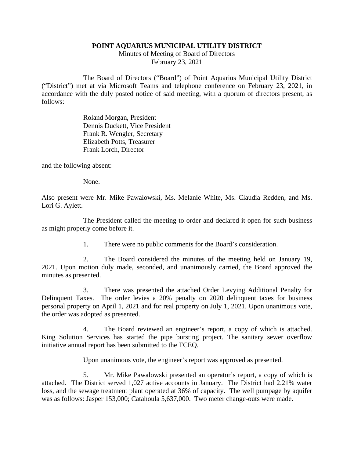## **POINT AQUARIUS MUNICIPAL UTILITY DISTRICT**

Minutes of Meeting of Board of Directors February 23, 2021

The Board of Directors ("Board") of Point Aquarius Municipal Utility District ("District") met at via Microsoft Teams and telephone conference on February 23, 2021, in accordance with the duly posted notice of said meeting, with a quorum of directors present, as follows:

> Roland Morgan, President Dennis Duckett, Vice President Frank R. Wengler, Secretary Elizabeth Potts, Treasurer Frank Lorch, Director

and the following absent:

None.

Also present were Mr. Mike Pawalowski, Ms. Melanie White, Ms. Claudia Redden, and Ms. Lori G. Aylett.

The President called the meeting to order and declared it open for such business as might properly come before it.

1. There were no public comments for the Board's consideration.

2. The Board considered the minutes of the meeting held on January 19, 2021. Upon motion duly made, seconded, and unanimously carried, the Board approved the minutes as presented.

3. There was presented the attached Order Levying Additional Penalty for Delinquent Taxes. The order levies a 20% penalty on 2020 delinquent taxes for business personal property on April 1, 2021 and for real property on July 1, 2021. Upon unanimous vote, the order was adopted as presented.

4. The Board reviewed an engineer's report, a copy of which is attached. King Solution Services has started the pipe bursting project. The sanitary sewer overflow initiative annual report has been submitted to the TCEQ.

Upon unanimous vote, the engineer's report was approved as presented.

5. Mr. Mike Pawalowski presented an operator's report, a copy of which is attached. The District served 1,027 active accounts in January. The District had 2.21% water loss, and the sewage treatment plant operated at 36% of capacity. The well pumpage by aquifer was as follows: Jasper 153,000; Catahoula 5,637,000. Two meter change-outs were made.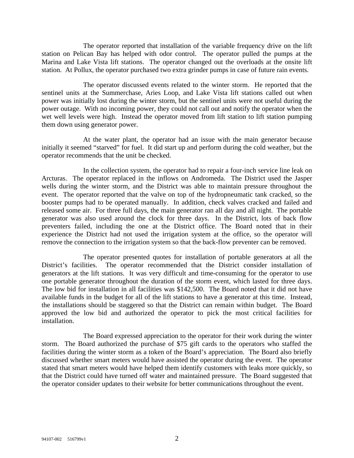The operator reported that installation of the variable frequency drive on the lift station on Pelican Bay has helped with odor control. The operator pulled the pumps at the Marina and Lake Vista lift stations. The operator changed out the overloads at the onsite lift station. At Pollux, the operator purchased two extra grinder pumps in case of future rain events.

The operator discussed events related to the winter storm. He reported that the sentinel units at the Summerchase, Aries Loop, and Lake Vista lift stations called out when power was initially lost during the winter storm, but the sentinel units were not useful during the power outage. With no incoming power, they could not call out and notify the operator when the wet well levels were high. Instead the operator moved from lift station to lift station pumping them down using generator power.

At the water plant, the operator had an issue with the main generator because initially it seemed "starved" for fuel. It did start up and perform during the cold weather, but the operator recommends that the unit be checked.

In the collection system, the operator had to repair a four-inch service line leak on Arcturas. The operator replaced in the inflows on Andromeda. The District used the Jasper wells during the winter storm, and the District was able to maintain pressure throughout the event. The operator reported that the valve on top of the hydropneumatic tank cracked, so the booster pumps had to be operated manually. In addition, check valves cracked and failed and released some air. For three full days, the main generator ran all day and all night. The portable generator was also used around the clock for three days. In the District, lots of back flow preventers failed, including the one at the District office. The Board noted that in their experience the District had not used the irrigation system at the office, so the operator will remove the connection to the irrigation system so that the back-flow preventer can be removed.

The operator presented quotes for installation of portable generators at all the District's facilities. The operator recommended that the District consider installation of generators at the lift stations. It was very difficult and time-consuming for the operator to use one portable generator throughout the duration of the storm event, which lasted for three days. The low bid for installation in all facilities was \$142,500. The Board noted that it did not have available funds in the budget for all of the lift stations to have a generator at this time. Instead, the installations should be staggered so that the District can remain within budget. The Board approved the low bid and authorized the operator to pick the most critical facilities for installation.

The Board expressed appreciation to the operator for their work during the winter storm. The Board authorized the purchase of \$75 gift cards to the operators who staffed the facilities during the winter storm as a token of the Board's appreciation. The Board also briefly discussed whether smart meters would have assisted the operator during the event. The operator stated that smart meters would have helped them identify customers with leaks more quickly, so that the District could have turned off water and maintained pressure. The Board suggested that the operator consider updates to their website for better communications throughout the event.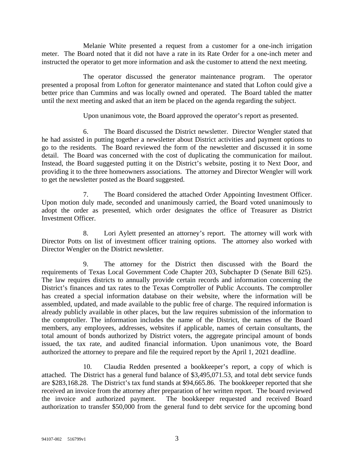Melanie White presented a request from a customer for a one-inch irrigation meter. The Board noted that it did not have a rate in its Rate Order for a one-inch meter and instructed the operator to get more information and ask the customer to attend the next meeting.

The operator discussed the generator maintenance program. The operator presented a proposal from Lofton for generator maintenance and stated that Lofton could give a better price than Cummins and was locally owned and operated. The Board tabled the matter until the next meeting and asked that an item be placed on the agenda regarding the subject.

Upon unanimous vote, the Board approved the operator's report as presented.

6. The Board discussed the District newsletter. Director Wengler stated that he had assisted in putting together a newsletter about District activities and payment options to go to the residents. The Board reviewed the form of the newsletter and discussed it in some detail. The Board was concerned with the cost of duplicating the communication for mailout. Instead, the Board suggested putting it on the District's website, posting it to Next Door, and providing it to the three homeowners associations. The attorney and Director Wengler will work to get the newsletter posted as the Board suggested.

7. The Board considered the attached Order Appointing Investment Officer. Upon motion duly made, seconded and unanimously carried, the Board voted unanimously to adopt the order as presented, which order designates the office of Treasurer as District Investment Officer.

8. Lori Aylett presented an attorney's report. The attorney will work with Director Potts on list of investment officer training options. The attorney also worked with Director Wengler on the District newsletter.

9. The attorney for the District then discussed with the Board the requirements of Texas Local Government Code Chapter 203, Subchapter D (Senate Bill 625). The law requires districts to annually provide certain records and information concerning the District's finances and tax rates to the Texas Comptroller of Public Accounts. The comptroller has created a special information database on their website, where the information will be assembled, updated, and made available to the public free of charge. The required information is already publicly available in other places, but the law requires submission of the information to the comptroller. The information includes the name of the District, the names of the Board members, any employees, addresses, websites if applicable, names of certain consultants, the total amount of bonds authorized by District voters, the aggregate principal amount of bonds issued, the tax rate, and audited financial information. Upon unanimous vote, the Board authorized the attorney to prepare and file the required report by the April 1, 2021 deadline.

10. Claudia Redden presented a bookkeeper's report, a copy of which is attached. The District has a general fund balance of \$3,495,071.53, and total debt service funds are \$283,168.28. The District's tax fund stands at \$94,665.86. The bookkeeper reported that she received an invoice from the attorney after preparation of her written report. The board reviewed the invoice and authorized payment. The bookkeeper requested and received Board authorization to transfer \$50,000 from the general fund to debt service for the upcoming bond